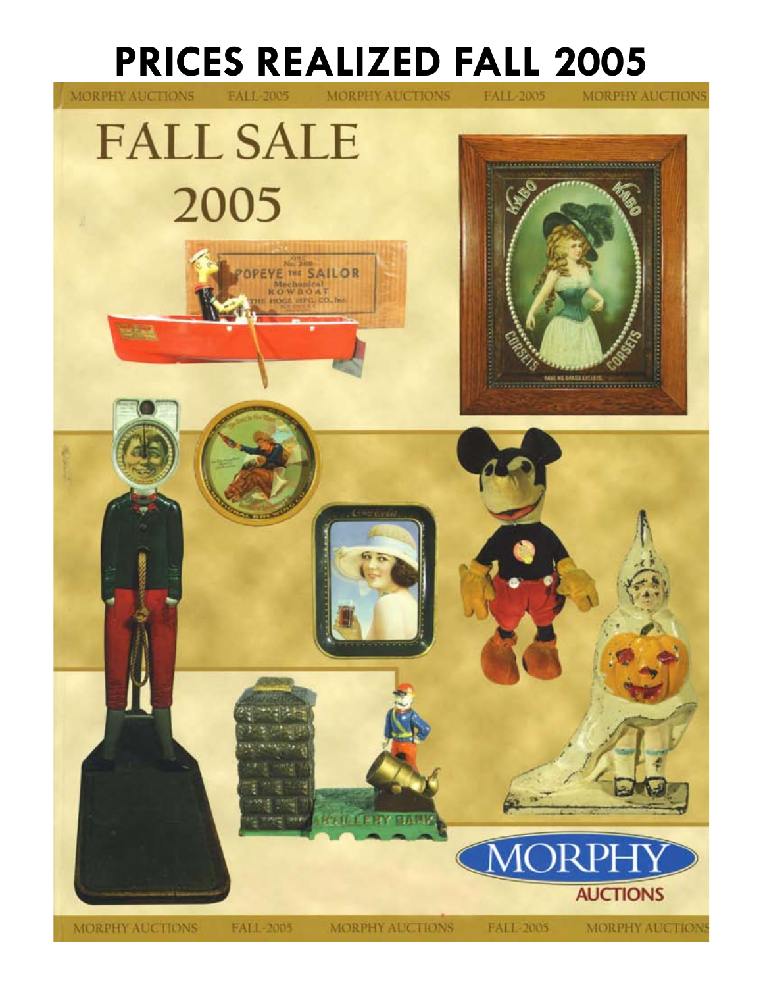## **PRICES REALIZED FALL 2005**

MORPHY AUCTIONS

**STORM** 

FALL-2005

MORPHY AUCTIONS

**MORPHY AUCTIONS** 

FALL-2005





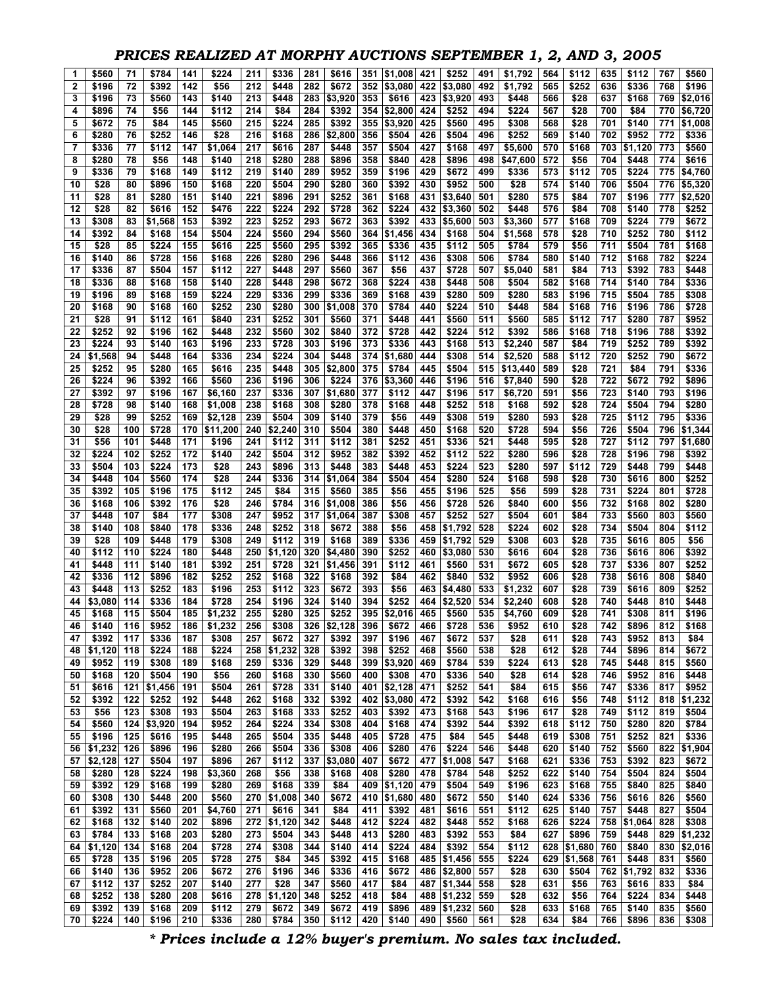## *PRICES REALIZED AT MORPHY AUCTIONS SEPTEMBER 1, 2, AND 3, 2005*

| 1        | \$560            | 71         | \$784          | 141        | \$224          | 211        | \$336            | 281        | \$616          | 351        | \$1,008        | 421        | \$252                  | 491        | \$1.792        | 564        | \$112          | 635        | \$112          | 767        | \$560            |
|----------|------------------|------------|----------------|------------|----------------|------------|------------------|------------|----------------|------------|----------------|------------|------------------------|------------|----------------|------------|----------------|------------|----------------|------------|------------------|
| 2        | \$196            | 72         | \$392          | 142        | \$56           | 212        | \$448            | 282        | \$672          | 352        | \$3,080        | 422        | \$3,080                | 492        | \$1,792        | 565        | \$252          | 636        | \$336          | 768        | \$196            |
| 3        | \$196            | 73         | \$560          | 143        | \$140          | 213        | \$448            | 283        | \$3,920        | 353        | \$616          | 423        | \$3,920                | 493        | \$448          | 566        | \$28           | 637        | \$168          | 769        | \$2,016          |
| 4        | \$896            | 74         | \$56           | 144        | \$112          | 214        | \$84             | 284        | \$392          | 354        | \$2,800        | 424        | \$252                  | 494        | \$224          | 567        | \$28           | 700        | \$84           | 770        | \$6,720          |
| 5        | \$672            | 75         | \$84           | 145        | \$560          | 215        | \$224            | 285        | \$392          | 355        | \$3,920        | 425        | \$560                  | 495        | \$308          | 568        | \$28           | 701        | \$140          | 771        | \$1,008          |
| 6        | \$280            | 76         | \$252          | 146        | \$28           | 216        | \$168            | 286        | \$2,800        | 356        | \$504          | 426        | \$504                  | 496        | \$252          | 569        | \$140          | 702        | \$952          | 772        | \$336            |
| 7        | \$336            | 77         | \$112          | 147        | \$1.064        | 217        | \$616            | 287        | \$448          | 357        | \$504          | 427        | \$168                  | 497        | \$5,600        | 570        | \$168          | 703        | \$1,120        | 773        | \$560            |
| 8        | \$280            | 78         | \$56           | 148        | \$140          | 218        | \$280            | 288        | \$896          | 358        | \$840          | 428        | \$896                  | 498        | \$47,600       | 572        | \$56           | 704        | \$448          | 774        | \$616            |
| 9        | \$336            | 79         | \$168          | 149        | \$112          | 219        | \$140            | 289        | \$952          | 359        | \$196          | 429        | \$672                  | 499        | \$336          | 573        | \$112          | 705        | \$224          | 775        | \$4,760          |
| 10       | \$28             | 80         | \$896          | 150        | \$168          | 220        | \$504            | 290        | \$280          | 360        | \$392          | 430        | \$952                  | 500        | \$28           | 574        | \$140          | 706        | \$504          | 776        | \$5,320          |
| 11       | \$28             | 81         | \$280          | 151        | \$140          | 221        | \$896            | 291        | \$252          | 361        | \$168          | 431        | \$3,640                | 501        | \$280          | 575        | \$84           | 707        | \$196          | 777        | \$2,520          |
| 12       | \$28             | 82         | \$616          | 152        | \$476          | 222        | \$224            | 292        | \$728          | 362        | \$224          | 432        | \$3,360                | 502        | \$448          | 576        | \$84           | 708        | \$140          | 778        | \$252            |
| 13       | \$308            | 83         | \$1,568        | 153        | \$392          | 223        | \$252            | 293        | \$672          | 363        | \$392          | 433        | \$5,600                | 503        | \$3,360        | 577        | \$168          | 709        | \$224          | 779        | \$672            |
| 14       | \$392            | 84         | \$168          | 154        | \$504          | 224        | \$560            | 294        | \$560          | 364        | \$1,456        | 434        | \$168                  | 504        | \$1,568        | 578        | \$28           | 710        | \$252          | 780        | \$112            |
| 15       | \$28             | 85         | \$224          | 155        | \$616          | 225        | \$560            | 295        | \$392          | 365        | \$336          | 435        | \$112                  | 505        | \$784          | 579        | \$56           | 711        | \$504          | 781        | \$168            |
| 16       | \$140            | 86         | \$728          | 156        | \$168          | 226        | \$280            | 296        | \$448          | 366        | \$112          | 436        | \$308                  | 506        | \$784          | 580        | \$140          | 712        | \$168          | 782        | \$224            |
| 17       | \$336            | 87         | \$504          | 157        | \$112          | 227        | \$448            | 297        | \$560          | 367        | \$56           | 437        | \$728                  | 507        | \$5,040        | 581        | \$84           | 713        | \$392          | 783        | \$448            |
| 18       | \$336<br>\$196   | 88         | \$168<br>\$168 | 158<br>159 | \$140<br>\$224 | 228<br>229 | \$448<br>\$336   | 298        | \$672<br>\$336 | 368        | \$224<br>\$168 | 438        | \$448<br>\$280         | 508        | \$504<br>\$280 | 582        | \$168<br>\$196 | 714<br>715 | \$140<br>\$504 | 784<br>785 | \$336<br>\$308   |
| 19<br>20 | \$168            | 89<br>90   | \$168          | 160        | \$252          | 230        | \$280            | 299<br>300 | \$1,008        | 369<br>370 | \$784          | 439<br>440 | \$224                  | 509<br>510 | \$448          | 583<br>584 | \$168          | 716        | \$196          | 786        | \$728            |
|          |                  |            |                |            |                |            | \$252            |            |                |            |                |            |                        |            |                |            |                |            |                |            |                  |
| 21<br>22 | \$28<br>\$252    | 91<br>92   | \$112<br>\$196 | 161<br>162 | \$840<br>\$448 | 231<br>232 | \$560            | 301<br>302 | \$560<br>\$840 | 371<br>372 | \$448<br>\$728 | 441<br>442 | \$560<br>\$224         | 511<br>512 | \$560<br>\$392 | 585<br>586 | \$112<br>\$168 | 717<br>718 | \$280<br>\$196 | 787<br>788 | \$952<br>\$392   |
| 23       | \$224            | 93         | \$140          | 163        | \$196          | 233        | \$728            | 303        | \$196          | 373        | \$336          | 443        | \$168                  | 513        | \$2,240        | 587        | \$84           | 719        | \$252          | 789        | \$392            |
| 24       | \$1,568          | 94         | \$448          | 164        | \$336          | 234        | \$224            | 304        | \$448          | 374        | \$1,680        | 444        | \$308                  | 514        | \$2,520        | 588        | \$112          | 720        | \$252          | 790        | \$672            |
| 25       | \$252            | 95         | \$280          | 165        | \$616          | 235        | \$448            | 305        | \$2,800        | 375        | \$784          | 445        | \$504                  | 515        | \$13,440       | 589        | \$28           | 721        | \$84           | 791        | \$336            |
| 26       | \$224            | 96         | \$392          | 166        | \$560          | 236        | \$196            | 306        | \$224          | 376        | \$3,360        | 446        | \$196                  | 516        | \$7,840        | 590        | \$28           | 722        | \$672          | 792        | \$896            |
| 27       | \$392            | 97         | \$196          | 167        | \$6,160        | 237        | \$336            | 307        | \$1,680        | 377        | \$112          | 447        | \$196                  | 517        | \$6,720        | 591        | \$56           | 723        | \$140          | 793        | \$196            |
| 28       | \$728            | 98         | \$140          | 168        | \$1,008        | 238        | \$168            | 308        | \$280          | 378        | \$168          | 448        | \$252                  | 518        | \$168          | 592        | \$28           | 724        | \$504          | 794        | \$280            |
| 29       | \$28             | 99         | \$252          | 169        | \$2.128        | 239        | \$504            | 309        | \$140          | 379        | \$56           | 449        | \$308                  | 519        | \$280          | 593        | \$28           | 725        | \$112          | 795        | \$336            |
| 30       | \$28             | 100        | \$728          | 170        | \$11,200       | 240        | \$2,240          | 310        | \$504          | 380        | \$448          | 450        | \$168                  | 520        | \$728          | 594        | \$56           | 726        | \$504          | 796        | \$1,344          |
| 31       | \$56             | 101        | \$448          | 171        | \$196          | 241        | \$112            | 311        | \$112          | 381        | \$252          | 451        | \$336                  | 521        | \$448          | 595        | \$28           | 727        | \$112          | 797        | \$1,680          |
| 32       | \$224            | 102        | \$252          | 172        | \$140          | 242        | \$504            | 312        | \$952          | 382        | \$392          | 452        | \$112                  | 522        | \$280          | 596        | \$28           | 728        | \$196          | 798        | \$392            |
| 33       | \$504            | 103        | \$224          | 173        | \$28           | 243        | \$896            | 313        | \$448          | 383        | \$448          | 453        | \$224                  | 523        | \$280          | 597        | \$112          | 729        | \$448          | 799        | \$448            |
| 34       | \$448            | 104        | \$560          | 174        | \$28           | 244        | \$336            | 314        | \$1,064        | 384        | \$504          | 454        | \$280                  | 524        | \$168          | 598        | \$28           | 730        | \$616          | 800        | \$252            |
| 35       | \$392            | 105        | \$196          | 175        | \$112          | 245        | \$84             | 315        | \$560          | 385        | \$56           | 455        | \$196                  | 525        | \$56           | 599        | \$28           | 731        | \$224          | 801        | \$728            |
| 36       | \$168            | 106        | \$392          | 176        | \$28           | 246        | \$784            | 316        | \$1,008        | 386        | \$56           | 456        | \$728                  | 526        | \$840          | 600        | \$56           | 732        | \$168          | 802        | \$280            |
| 37       | \$448            | 107        | \$84           | 177        | \$308          | 247        | \$952            | 317        | \$1,064        | 387        | \$308          | 457        | \$252                  | 527        | \$504          | 601        | \$84           | 733        | \$560          | 803        | \$560            |
| 38       | \$140            | 108        | \$840          | 178        | \$336          | 248        | \$252            | 318        | \$672          | 388        | \$56           | 458        | \$1,792                | 528        | \$224          | 602        | \$28           | 734        | \$504          | 804        | \$112            |
| 39       | \$28             | 109        | \$448          | 179        | \$308          | 249        | \$112            | 319        | \$168          | 389        | \$336          | 459        | \$1,792                | 529        | \$308          | 603        | \$28           | 735        | \$616          | 805        | \$56             |
| 40       | \$112            | 110        | \$224          | 180        | \$448          | 250        | \$1,120          | 320        | \$4,480        | 390        | \$252          | 460        | \$3,080                | 530        | \$616          | 604        | \$28           | 736        | \$616          | 806        | \$392            |
| 41       | \$448            | 111        | \$140          | 181        | \$392          | 251        | \$728            | 321        | \$1,456        | 391        | \$112          | 461        | \$560                  | 531        | \$672          | 605        | \$28           | 737        | \$336          | 807        | \$252            |
| 42       | \$336            | 112        | \$896          | 182        | \$252          | 252        | \$168            | 322        | \$168          | 392        | \$84           | 462        | \$840                  | 532        | \$952          | 606        | \$28           | 738        | \$616          | 808        | \$840            |
| 43       | \$448            | 113        | \$252          | 183        | \$196          | 253        | \$112            | 323        | \$672          | 393        | \$56           | 463        | \$4,480                | 533        | \$1,232        | 607        | \$28           | 739        | \$616          | 809        | \$252            |
| 44       | \$3,080          | 114        | \$336          | 184        | \$728          | 254        | \$196            | 324        | \$140          | 394        | \$252          | 464        | \$2,520                | 534        | \$2,240        | 608        | \$28           | 740        | \$448          | 810        | \$448            |
| 45       | \$168            | 115        | \$504          | 185        | \$1,232        | 255        | \$280            | 325        | \$252          | 395        | \$2,016        | 465        | \$560                  | 535        | \$4,760        | 609        | \$28           | 741        | \$308          | 811        | \$196            |
| 46       | \$140            | 116        | \$952          | 186        | \$1,232        | 256        | \$308            | 326        | \$2,128        | 396        | \$672          | 466        | \$728                  | 536        | \$952          | 610        | \$28           | 742        | \$896          | 812        | \$168            |
| 47       | \$392            | 117        | \$336          | 187        | \$308          | 257        | \$672            | 327        | \$392          | 397        | \$196          | 467        | \$672                  | 537        | \$28           | 611        | \$28           | 743        | \$952          | 813        | \$84             |
| 48       | \$1,120          | 118        | \$224          | 188        | \$224          | 258        | \$1,232          | 328        | \$392          | 398        | \$252          | 468        | \$560                  | 538        | \$28           | 612        | \$28           | 744        | \$896          | 814        | \$672            |
| 49       | \$952            | 119        | \$308          | 189        | \$168          | 259        | \$336            | 329        | \$448          | 399        | \$3,920        | 469        | \$784                  | 539        | \$224          | 613        | \$28           | 745        | \$448          | 815        | \$560            |
| 50       | \$168            | 120        | \$504          | 190        | \$56           | 260        | \$168            | 330        | \$560          | 400        | \$308          | 470        | \$336                  | 540        | \$28           | 614        | \$28           | 746        | \$952          | 816        | \$448            |
| 51       | \$616            | 121        | \$1,456        | 191        | \$504          | 261        | \$728            | 331        | \$140          | 401        | \$2,128        | 471        | \$252                  | 541        | \$84           | 615        | \$56           | 747        | \$336          | 817        | \$952            |
| 52       | \$392            | 122        | \$252          | 192        | \$448          | 262        | \$168            | 332        | \$392          | 402        | \$3,080        | 472        | \$392                  | 542        | \$168          | 616        | \$56           | 748        | \$112          | 818        | \$1,232          |
| 53       | \$56             | 123        | \$308          | 193        | \$504          | 263        | \$168            | 333        | \$252          | 403        | \$392          | 473        | \$168                  | 543        | \$196          | 617        | \$28           | 749        | \$112          | 819        | \$504            |
| 54       | \$560            | 124        | \$3,920        | 194        | \$952          | 264        | \$224            | 334        | \$308          | 404        | \$168          | 474        | \$392                  | 544        | \$392          | 618        | \$112          | 750        | \$280          | 820        | \$784            |
| 55<br>56 | \$196<br>\$1,232 | 125<br>126 | \$616<br>\$896 | 195<br>196 | \$448<br>\$280 | 265<br>266 | \$504<br>\$504   | 335<br>336 | \$448<br>\$308 | 405<br>406 | \$728<br>\$280 | 475<br>476 | \$84<br>\$224          | 545<br>546 | \$448<br>\$448 | 619<br>620 | \$308<br>\$140 | 751<br>752 | \$252<br>\$560 | 821<br>822 | \$336<br>\$1,904 |
|          | \$2,128          | 127        | \$504          | 197        | \$896          | 267        | \$112            | 337        | \$3,080        | 407        | \$672          | 477        | \$1,008                | 547        | \$168          | 621        | \$336          | 753        | \$392          | 823        | \$672            |
| 57<br>58 | \$280            | 128        | \$224          | 198        | \$3,360        | 268        | \$56             | 338        | \$168          | 408        | \$280          | 478        | \$784                  | 548        | \$252          | 622        | \$140          | 754        | \$504          | 824        | \$504            |
| 59       | \$392            | 129        | \$168          | 199        | \$280          | 269        | \$168            | 339        | \$84           | 409        | \$1,120        | 479        | \$504                  | 549        | \$196          | 623        | \$168          | 755        | \$840          | 825        | \$840            |
| 60       | \$308            | 130        | \$448          | 200        | \$560          | 270        | \$1,008          | 340        | \$672          | 410        | \$1,680        | 480        | \$672                  | 550        | \$140          | 624        | \$336          | 756        | \$616          | 826        | \$560            |
| 61       | \$392            | 131        | \$560          | 201        | \$4,760        | 271        | \$616            | 341        | \$84           | 411        | \$392          | 481        | \$616                  | 551        | \$112          | 625        | \$140          | 757        | \$448          | 827        | \$504            |
| 62       | \$168            | 132        | \$140          | 202        | \$896          |            | 272 \$1,120      | 342        | \$448          | 412        | \$224          | 482        | \$448                  | 552        | \$168          | 626        | \$224          | 758        | \$1,064        | 828        | \$308            |
| 63       | \$784            | 133        | \$168          | 203        | \$280          | 273        | \$504            | 343        | \$448          | 413        | \$280          | 483        | \$392                  | 553        | \$84           | 627        | \$896          | 759        | \$448          | 829        | \$1,232          |
| 64       | \$1,120          | 134        | \$168          | 204        | \$728          | 274        | \$308            | 344        | \$140          | 414        | \$224          | 484        | \$392                  | 554        | \$112          | 628        | \$1,680        | 760        | \$840          | 830        | \$2,016          |
| 65       | \$728            | 135        | \$196          | 205        | \$728          | 275        | \$84             | 345        | \$392          | 415        | \$168          |            | 485 \$1,456            | 555        | \$224          |            | 629 \$1,568    | 761        | \$448          | 831        | \$560            |
| 66       | \$140            | 136        | \$952          | 206        | \$672          | 276        | \$196            | 346        | \$336          | 416        | \$672          |            | 486 \$2,800            | 557        | \$28           | 630        | \$504          | 762        | \$1,792        | 832        | \$336            |
| 67       | \$112            | 137        | \$252          | 207        | \$140          | 277        | \$28             | 347        | \$560          | 417        | \$84           |            | 487 \$1,344            | 558        | \$28           | 631        | \$56           | 763        | \$616          | 833        | \$84             |
|          |                  |            |                |            |                |            |                  |            |                |            |                |            |                        |            |                |            |                |            |                |            |                  |
|          |                  |            |                |            |                |            |                  |            |                |            |                |            |                        |            |                |            |                |            |                |            |                  |
| 68<br>69 | \$252<br>\$392   | 138<br>139 | \$280<br>\$168 | 208<br>209 | \$616<br>\$112 | 278<br>279 | \$1,120<br>\$672 | 348<br>349 | \$252<br>\$672 | 418<br>419 | \$84<br>\$896  | 488        | \$1,232<br>489 \$1,232 | 559<br>560 | \$28<br>\$28   | 632<br>633 | \$56<br>\$168  | 764<br>765 | \$224<br>\$140 | 834<br>835 | \$448<br>\$560   |

*\* Prices include a 12% buyer's premium. No sales tax included.*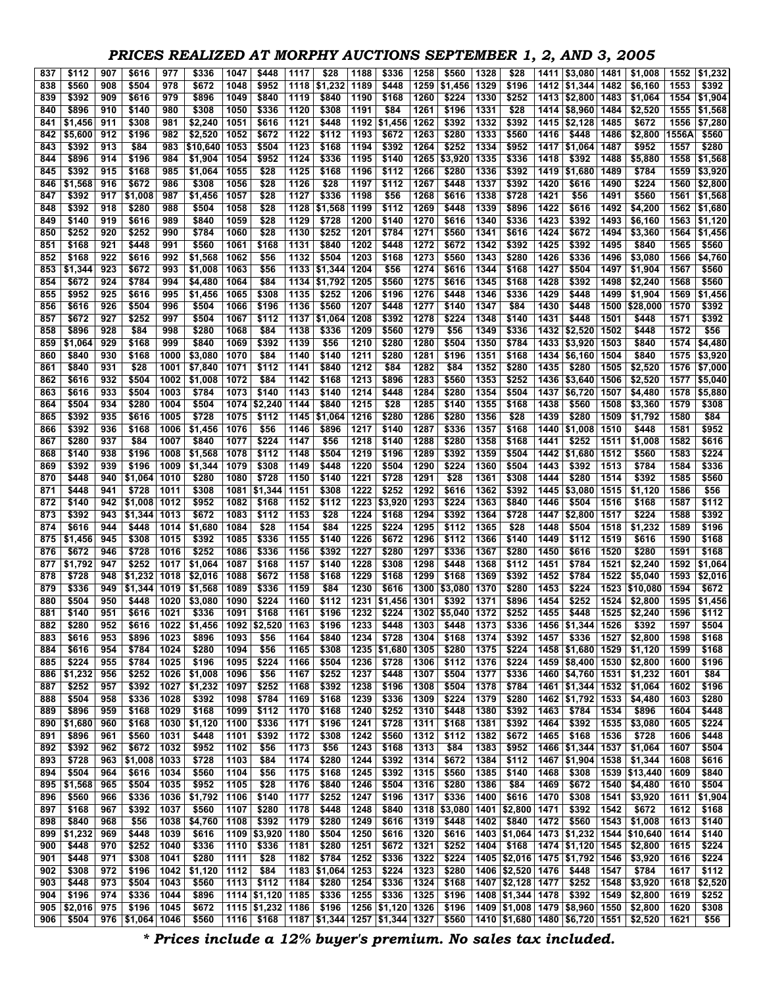## *PRICES REALIZED AT MORPHY AUCTIONS SEPTEMBER 1, 2, AND 3, 2005*

| 837        | \$112            | 907        | \$616            | 977          | \$336              | 1047         | \$448             | 1117         | \$28                            | 1188         | \$336          | 1258         | \$560          | 1328         | \$28                            | 1411         | \$3,080                        | 1481         | \$1,008             | 1552                | \$1,232            |
|------------|------------------|------------|------------------|--------------|--------------------|--------------|-------------------|--------------|---------------------------------|--------------|----------------|--------------|----------------|--------------|---------------------------------|--------------|--------------------------------|--------------|---------------------|---------------------|--------------------|
| 838        | \$560            | 908        | \$504            | 978          | \$672              | 1048         | \$952             | 1118         | \$1,232                         | 1189         | \$448          | 1259         | \$1,456        | 1329         | \$196                           |              | 1412 \$1,344                   | 1482         | \$6,160             | 1553                | \$392              |
| 839        | \$392            | 909        | \$616            | 979          | \$896              | 1049         | \$840             | 1119         | \$840                           | 1190         | \$168          | 1260         | \$224          | 1330         | \$252                           | 1413         | \$2,800                        | 1483         | \$1,064             | 1554                | \$1,904            |
| 840        | \$896            | 910        | \$140            | 980          | \$308              | 1050         | \$336             | 1120         | \$308                           | 1191         | \$84           | 1261         | \$196          | 1331         | \$28                            |              | 1414 \$8,960                   | 1484         | \$2,520             | 1555                | \$1,568            |
| 841        | \$1,456          | 911        | \$308            | 981          | \$2,240            | 1051         | \$616             | 1121         | \$448                           | 1192         | \$1,456        | 1262         | \$392          | 1332         | \$392                           |              | 1415 \$2,128                   | 1485         | \$672               | 1556                | \$7,280            |
| 842        | \$5,600          | 912        | \$196            | 982          | \$2,520            | 1052         | \$672             | 1122         | \$112                           | 1193         | \$672          | 1263         | \$280          | 1333         | \$560                           | 1416         | \$448                          | 1486         | \$2,800             | 1556A               | \$560              |
| 843        | \$392            | 913        | \$84             | 983          | \$10.640           | 1053         | \$504             | 1123         | \$168                           | 1194         | \$392          | 1264         | \$252          | 1334         | \$952                           | 1417         | \$1,064                        | 1487         | \$952               | 1557                | \$280              |
| 844        | \$896            | 914        | \$196            | 984          | \$1,904            | 1054         | \$952             | 1124         | \$336                           | 1195         | \$140          | 1265         | \$3,920        | 1335         | \$336                           | 1418         | \$392                          | 1488         | \$5,880             | 1558                | \$1,568            |
| 845<br>846 | \$392<br>\$1,568 | 915<br>916 | \$168<br>\$672   | 985<br>986   | \$1,064<br>\$308   | 1055<br>1056 | \$28<br>\$28      | 1125<br>1126 | \$168<br>\$28                   | 1196<br>1197 | \$112<br>\$112 | 1266<br>1267 | \$280<br>\$448 | 1336<br>1337 | \$392<br>\$392                  | 1419<br>1420 | \$1,680<br>\$616               | 1489<br>1490 | \$784<br>\$224      | 1559<br>1560        | \$3,920<br>\$2,800 |
| 847        | \$392            | 917        | \$1,008          | 987          | \$1,456            | 1057         | \$28              | 1127         | \$336                           | 1198         | \$56           | 1268         | \$616          | 1338         | \$728                           | 1421         | \$56                           | 1491         | \$560               | 1561                | \$1,568            |
| 848        | \$392            | 918        | \$280            | 988          | \$504              | 1058         | \$28              | 1128         | \$1,568                         | 1199         | \$112          | 1269         | \$448          | 1339         | \$896                           | 1422         | \$616                          | 1492         | \$4,200             | 1562                | \$1,680            |
| 849        | \$140            | 919        | \$616            | 989          | \$840              | 1059         | \$28              | 1129         | \$728                           | 1200         | \$140          | 1270         | \$616          | 1340         | \$336                           | 1423         | \$392                          | 1493         | \$6,160             | 1563                | \$1,120            |
| 850        | \$252            | 920        | \$252            | 990          | \$784              | 1060         | \$28              | 1130         | \$252                           | 1201         | \$784          | 1271         | \$560          | 1341         | \$616                           | 1424         | \$672                          | 1494         | \$3,360             | 1564                | \$1,456            |
| 851        | \$168            | 921        | \$448            | 991          | \$560              | 1061         | \$168             | 1131         | \$840                           | 1202         | \$448          | 1272         | \$672          | 1342         | \$392                           | 1425         | \$392                          | 1495         | \$840               | 1565                | \$560              |
| 852        | \$168            | 922        | \$616            | 992          | \$1,568            | 1062         | \$56              | 1132         | \$504                           | 1203         | \$168          | 1273         | \$560          | 1343         | \$280                           | 1426         | \$336                          | 1496         | \$3,080             | 1566                | \$4,760            |
| 853        | \$1,344          | 923        | \$672            | 993          | \$1,008            | 1063         | \$56              | 1133         | \$1,344                         | 1204         | \$56           | 1274         | \$616          | 1344         | \$168                           | 1427         | \$504                          | 1497         | \$1,904             | 1567                | \$560              |
| 854        | \$672            | 924        | \$784            | 994          | \$4,480            | 1064         | \$84              | 1134         | \$1,792                         | 1205         | \$560          | 1275         | \$616          | 1345         | \$168                           | 1428         | \$392                          | 1498         | \$2,240             | 1568                | \$560              |
| 855        | \$952            | 925        | \$616            | 995          | \$1,456            | 1065         | \$308             | 1135         | \$252                           | 1206         | \$196          | 1276         | \$448          | 1346         | \$336                           | 1429         | \$448                          | 1499         | \$1,904             | 1569                | \$1,456            |
| 856        | \$616            | 926        | \$504            | 996          | \$504              | 1066         | \$196             | 1136         | \$560                           | 1207         | \$448          | 1277         | \$140          | 1347         | \$84                            | 1430         | \$448                          | 1500         | \$28,000            | 1570                | \$392              |
| 857        | \$672            | 927        | \$252            | 997          | \$504              | 1067         | \$112             | 1137         | \$1,064                         | 1208         | \$392          | 1278         | \$224          | 1348         | \$140                           | 1431         | \$448                          | 1501         | \$448               | 1571                | \$392              |
| 858        | \$896            | 928        | \$84             | 998          | \$280              | 1068         | \$84              | 1138         | \$336                           | 1209         | \$560          | 1279         | \$56           | 1349         | \$336                           | 1432         | \$2,520                        | 1502         | \$448               | 1572                | \$56               |
| 859        | \$1,064          | 929        | \$168            | 999          | \$840              | 1069         | \$392             | 1139         | \$56                            | 1210         | \$280          | 1280         | \$504          | 1350         | \$784                           | 1433         | \$3,920                        | 1503         | \$840               | 1574                | \$4,480            |
| 860        | \$840            | 930        | \$168            | 1000         | \$3.080            | 1070         | \$84              | 1140         | \$140                           | 1211         | \$280          | 1281         | \$196          | 1351         | \$168                           | 1434         | \$6,160                        | 1504         | \$840               | 1575                | \$3,920            |
| 861        | \$840<br>\$616   | 931<br>932 | \$28<br>\$504    | 1001<br>1002 | \$7,840            | 1071<br>1072 | \$112<br>\$84     | 1141<br>1142 | \$840<br>\$168                  | 1212<br>1213 | \$84<br>\$896  | 1282<br>1283 | \$84<br>\$560  | 1352<br>1353 | \$280<br>\$252                  | 1435<br>1436 | \$280                          | 1505<br>1506 | \$2,520<br>\$2,520  | 1576<br>1577        | \$7,000<br>\$5,040 |
| 862<br>863 | \$616            | 933        | \$504            | 1003         | \$1,008<br>\$784   | 1073         | \$140             | 1143         | \$140                           | 1214         | \$448          | 1284         | \$280          | 1354         | \$504                           | 1437         | \$3,640<br>\$6,720             | 1507         | \$4,480             | 1578                | \$5,880            |
| 864        | \$504            | 934        | \$280            | 1004         | \$504              | 1074         | \$2,240           | 1144         | \$840                           | 1215         | \$28           | 1285         | \$140          | 1355         | \$168                           | 1438         | \$560                          | 1508         | \$3,360             | 1579                | \$308              |
| 865        | \$392            | 935        | \$616            | 1005         | \$728              | 1075         | \$112             | 1145         | \$1,064                         | 1216         | \$280          | 1286         | \$280          | 1356         | \$28                            | 1439         | \$280                          | 1509         | \$1,792             | 1580                | \$84               |
| 866        | \$392            | 936        | \$168            | 1006         | \$1,456            | 1076         | \$56              | 1146         | \$896                           | 1217         | \$140          | 1287         | \$336          | 1357         | \$168                           | 1440         | \$1,008                        | 1510         | \$448               | 1581                | \$952              |
| 867        | \$280            | 937        | \$84             | 1007         | \$840              | 1077         | \$224             | 1147         | \$56                            | 1218         | \$140          | 1288         | \$280          | 1358         | \$168                           | 1441         | \$252                          | 1511         | \$1,008             | 1582                | \$616              |
| 868        | \$140            | 938        | \$196            | 1008         | \$1,568            | 1078         | \$112             | 1148         | \$504                           | 1219         | \$196          | 1289         | \$392          | 1359         | \$504                           | 1442         | \$1,680                        | 1512         | \$560               | 1583                | \$224              |
| 869        | \$392            | 939        | \$196            | 1009         | \$1,344            | 1079         | \$308             | 1149         | \$448                           | 1220         | \$504          | 1290         | \$224          | 1360         | \$504                           | 1443         | \$392                          | 1513         | \$784               | 1584                | \$336              |
| 870        | \$448            | 940        | \$1,064          | 1010         | \$280              | 1080         | \$728             | 1150         | \$140                           | 1221         | \$728          | 1291         | \$28           | 1361         | \$308                           | 1444         | \$280                          | 1514         | \$392               | 1585                | \$560              |
| 871        | \$448            | 941        | \$728            | 1011         | \$308              | 1081         | \$1,344           | 1151         | \$308                           | 1222         | \$252          | 1292         | \$616          | 1362         | \$392                           | 1445         | \$3,080                        | 1515         | \$1,120             | 1586                | \$56               |
| 872        | \$140            | 942        | \$1,008          | 1012         | \$952              | 1082         | \$168             | 1152         | \$112                           | 1223         | \$3,920        | 1293         | \$224          | 1363         | \$840                           | 1446         | \$504                          | 1516         | \$168               | 1587                | \$112              |
| 873        | \$392            | 943        | \$1,344          | 1013         | \$672              | 1083         | \$112             | 1153         | \$28                            | 1224         | \$168          | 1294         | \$392          | 1364         | \$728                           | 1447         | \$2,800                        | 1517         | \$224               | 1588                | \$392              |
| 874        | \$616            | 944        | \$448            | 1014         | \$1,680            | 1084         | \$28              | 1154         | \$84                            | 1225         | \$224          | 1295         | \$112          | 1365         | \$28                            | 1448         | \$504                          | 1518         | \$1,232             | 1589                | \$196              |
| 875        | \$1,456          | 945        | \$308            | 1015         | \$392              | 1085         | \$336             | 1155         | \$140                           | 1226         | \$672          | 1296         | \$112          | 1366         | \$140                           | 1449         | \$112                          | 1519         | \$616               | 1590                | \$168              |
| 876        | \$672            | 946        | \$728            | 1016         | \$252              | 1086         | \$336             | 1156         | \$392                           | 1227         | \$280          | 1297         | \$336          | 1367         | \$280                           | 1450         | \$616                          | 1520         | \$280               | 1591                | \$168              |
| 877        | \$1,792<br>\$728 | 947        | \$252<br>\$1,232 | 1017         | \$1,064            | 1087         | \$168<br>\$672    | 1157         | \$140                           | 1228<br>1229 | \$308<br>\$168 | 1298<br>1299 | \$448<br>\$168 | 1368<br>1369 | \$112<br>\$392                  | 1451         | \$784<br>\$784                 | 1521         | \$2,240<br>\$5,040  | 1592<br>1593        | \$1,064<br>\$2,016 |
| 878<br>879 | \$336            | 948<br>949 | \$1,344          | 1018<br>1019 | \$2,016<br>\$1,568 | 1088<br>1089 | \$336             | 1158<br>1159 | \$168<br>\$84                   | 1230         | \$616          | 1300         | \$3,080        | 1370         | \$280                           | 1452<br>1453 | \$224                          | 1522<br>1523 | \$10,080            | 1594                | \$672              |
| 880        | \$504            | 950        | \$448            | 1020         | \$3,080            | 1090         | \$224             | 1160         | \$112                           | 1231         | \$1,456        | 1301         | \$392          | 1371         | \$896                           | 1454         | \$252                          | 1524         | \$2,800             | 1595                | \$1,456            |
| 881        | \$140            | 951        | \$616            | 1021         | \$336              | 1091         | \$168             | 1161         | \$196                           | 1232         | \$224          |              | 1302 \$5,040   | 1372         | \$252                           | 1455         | \$448                          | 1525         | \$2.240             | 1596                | \$112              |
| 882        | \$280            | 952        | \$616            |              | $1022$ \$1,456     |              | 1092 \$2,520 1163 |              | \$196                           |              | 1233 \$448     |              | 1303 \$448     | 1373         | \$336                           |              | 1456 \$1,344 1526              |              | \$392               | 1597                | \$504              |
| 883        | \$616            | 953        | \$896            | 1023         | \$896              | 1093         | \$56              | 1164         | \$840                           | 1234         | \$728          | 1304         | \$168          | 1374         | \$392                           | 1457         | \$336                          | 1527         | \$2,800             | 1598                | \$168              |
| 884        | \$616            | 954        | \$784            | 1024         | \$280              | 1094         | \$56              | 1165         | \$308                           |              | 1235 \$1,680   | 1305         | \$280          | 1375         | \$224                           |              | 1458 \$1,680                   | 1529         | \$1,120             | 1599                | \$168              |
| 885        | \$224            | 955        | \$784            | 1025         | \$196              | 1095         | \$224             | 1166         | \$504                           | 1236         | \$728          | 1306         | \$112          | 1376         | \$224                           |              | 1459 \$8,400                   | 1530         | \$2,800             | 1600                | \$196              |
| 886        | \$1,232          | 956        | \$252            | 1026         | \$1,008            | 1096         | \$56              | 1167         | \$252                           | 1237         | \$448          | 1307         | \$504          | 1377         | \$336                           |              | 1460 \$4,760                   | 1531         | \$1,232             | 1601                | \$84               |
| 887        | \$252            | 957        | \$392            | 1027         | \$1,232            | 1097         | \$252             | 1168         | \$392                           | 1238         | \$196          | 1308         | \$504          | 1378         | \$784                           |              | 1461 \$1,344                   | 1532         | \$1,064             | 1602                | \$196              |
| 888        | \$504            | 958        | \$336            | 1028         | \$392              | 1098         | \$784             | 1169         | \$168                           | 1239         | \$336          | 1309         | \$224          | 1379         | \$280                           |              | 1462 \$1,792                   | 1533         | \$4,480             | 1603                | \$280              |
| 889        | \$896            | 959        | \$168            | 1029         | \$168              | 1099         | \$112             | 1170         | \$168                           | 1240         | \$252          | 1310         | \$448          | 1380         | \$392                           | 1463         | \$784                          | 1534         | \$896               | 1604                | \$448              |
| 890        | \$1,680          | 960        | \$168            | 1030         | \$1,120            | 1100         | \$336             | 1171         | \$196                           | 1241         | \$728          | 1311         | \$168          | 1381         | \$392                           | 1464         | \$392                          | 1535         | \$3,080             | 1605                | \$224              |
| 891        | \$896            | 961        | \$560            | 1031         | \$448              | 1101         | \$392             | 1172         | \$308                           | 1242         | \$560          | 1312         | \$112          | 1382         | \$672                           | 1465         | \$168                          | 1536         | \$728               | 1606                | \$448              |
| 892        | \$392<br>\$728   | 962<br>963 | \$672            | 1032         | \$952<br>\$728     | 1102<br>1103 | \$56<br>\$84      | 1173<br>1174 | \$56<br>\$280                   | 1243<br>1244 | \$168<br>\$392 | 1313<br>1314 | \$84           | 1383         | \$952                           |              | 1466 \$1,344                   | 1537<br>1538 | \$1,064             | 1607                | \$504<br>\$616     |
| 893<br>894 | \$504            | 964        | \$1,008<br>\$616 | 1033<br>1034 | \$560              | 1104         | \$56              | 1175         | \$168                           | 1245         | \$392          | 1315         | \$672<br>\$560 | 1384<br>1385 | \$112<br>\$140                  | 1467<br>1468 | \$1,904<br>\$308               | 1539         | \$1,344<br>\$13,440 | 1608<br>1609        | \$840              |
| 895        | \$1,568          | 965        | \$504            | 1035         | \$952              | 1105         | \$28              | 1176         | \$840                           | 1246         | \$504          | 1316         | \$280          | 1386         | \$84                            | 1469         | \$672                          | 1540         | \$4,480             | 1610                | \$504              |
| 896        | \$560            | 966        | \$336            | 1036         | \$1,792            | 1106         | \$140             | 1177         | \$252                           | 1247         | \$196          | 1317         | \$336          | 1400         | \$616                           | 1470         | \$308                          | 1541         | \$3,920             |                     | 1611 \$1,904       |
| 897        | \$168            | 967        | \$392            | 1037         | \$560              | 1107         | \$280             | 1178         | \$448                           | 1248         | \$840          | 1318         | \$3,080        | 1401         | \$2,800 1471                    |              | \$392                          | 1542         | \$672               | 1612                | \$168              |
| 898        | \$840            | 968        | \$56             | 1038         | \$4,760            | 1108         | \$392             | 1179         | \$280                           | 1249         | \$616          | 1319         | \$448          | 1402         | \$840                           | 1472         | \$560                          | 1543         | \$1,008             | 1613                | \$140              |
| 899        | \$1,232          | 969        | \$448            | 1039         | \$616              | 1109         | \$3,920           | 1180         | \$504                           | 1250         | \$616          | 1320         | \$616          | 1403         | \$1,064                         |              | 1473 \$1,232                   | 1544         | \$10,640            | 1614                | \$140              |
| 900        | \$448            | 970        | \$252            | 1040         | \$336              | 1110         | \$336             | 1181         | \$280                           | 1251         | \$672          | 1321         | \$252          | 1404         | \$168                           |              | 1474 \$1,120                   | 1545         | \$2,800             | 1615                | \$224              |
| 901        | \$448            | 971        | \$308            | 1041         | \$280              | 1111         | \$28              | 1182         | \$784                           | 1252         | \$336          | 1322         | \$224          |              | 1405   \$2,016   1475   \$1,792 |              |                                | 1546         | \$3,920             | 1616                | \$224              |
| 902        | \$308            | 972        | \$196            | 1042         | \$1,120            | 1112         | \$84              | 1183         | \$1,064                         | 1253         | \$224          | 1323         | \$280          |              | 1406 \$2,520 1476               |              | \$448                          | 1547         | \$784               | 1617                | \$112              |
| 903        | \$448            | 973        | \$504            | 1043         | \$560              | 1113         | \$112             | 1184         | \$280                           | 1254         | \$336          | 1324         | \$168          |              | 1407 \$2,128                    | 1477         | \$252                          | 1548         | \$3,920             | 1618                | \$2,520            |
| 904        | \$196            | 974        | \$336            | 1044         | \$896              |              | 1114 \$1,120 1185 |              | \$336                           | 1255         | \$336          | 1325         | \$196          |              | 1408 \$1,344                    | 1478         | \$392                          | 1549         | \$2,800             | 1619                | \$252              |
| 905        | \$2,016          | 975        | \$196            | 1045         | \$672              |              | 1115 \$1,232      | 1186         | \$196                           |              | 1256 \$1,120   | 1326         | \$196          |              | 1409 \$1,008                    |              | 1479 \$8,960                   | 1550         | \$2,800             | 1620                | \$308              |
| 906        | \$504            | 976        | \$1,064          | 1046         | \$560              | 1116         | \$168             |              | 1187   \$1,344   1257   \$1,344 |              |                | 1327         | \$560          |              |                                 |              | 1410 \$1,680 1480 \$6,720 1551 |              | \$2,520             | $\frac{1621}{1621}$ | \$56               |

*\* Prices include a 12% buyer's premium. No sales tax included.*